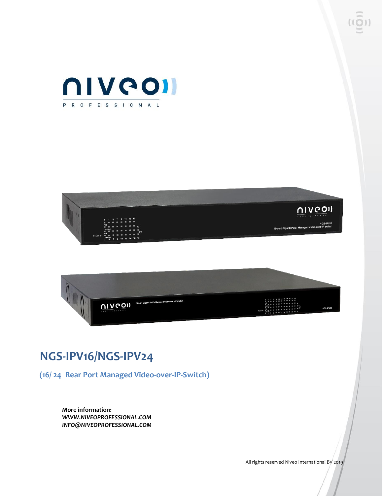





### **NGS-IPV16/NGS-IPV24**

**(16/ 24 Rear Port Managed Video-over-IP-Switch)** 

**More information:** *WWW.NIVEOPROFESSIONAL.COM INFO@NIVEOPROFESSIONAL.COM*

All rights reserved Niveo International BV 2019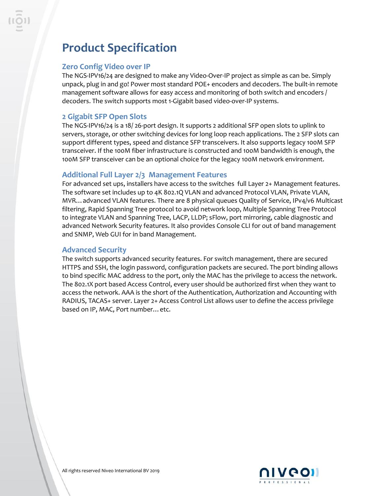## **Product Specification**

#### **Zero Config Video over IP**

The NGS-IPV16/24 are designed to make any Video-Over-IP project as simple as can be. Simply unpack, plug in and go! Power most standard POE+ encoders and decoders. The built-in remote management software allows for easy access and monitoring of both switch and encoders / decoders. The switch supports most 1-Gigabit based video-over-IP systems.

#### **2 Gigabit SFP Open Slots**

The NGS-IPV16/24 is a 18/ 26-port design. It supports 2 additional SFP open slots to uplink to servers, storage, or other switching devices for long loop reach applications. The 2 SFP slots can support different types, speed and distance SFP transceivers. It also supports legacy 100M SFP transceiver. If the 100M fiber infrastructure is constructed and 100M bandwidth is enough, the 100M SFP transceiver can be an optional choice for the legacy 100M network environment.

#### **Additional Full Layer 2/3 Management Features**

For advanced set ups, installers have access to the switches full Layer 2+ Management features. The software set includes up to 4K 802.1Q VLAN and advanced Protocol VLAN, Private VLAN, MVR…advanced VLAN features. There are 8 physical queues Quality of Service, IPv4/v6 Multicast filtering, Rapid Spanning Tree protocol to avoid network loop, Multiple Spanning Tree Protocol to integrate VLAN and Spanning Tree, LACP, LLDP; sFlow, port mirroring, cable diagnostic and advanced Network Security features. It also provides Console CLI for out of band management and SNMP, Web GUI for in band Management.

#### **Advanced Security**

The switch supports advanced security features. For switch management, there are secured HTTPS and SSH, the login password, configuration packets are secured. The port binding allows to bind specific MAC address to the port, only the MAC has the privilege to access the network. The 802.1X port based Access Control, every user should be authorized first when they want to access the network. AAA is the short of the Authentication, Authorization and Accounting with RADIUS, TACAS+ server. Layer 2+ Access Control List allows user to define the access privilege based on IP, MAC, Port number…etc.

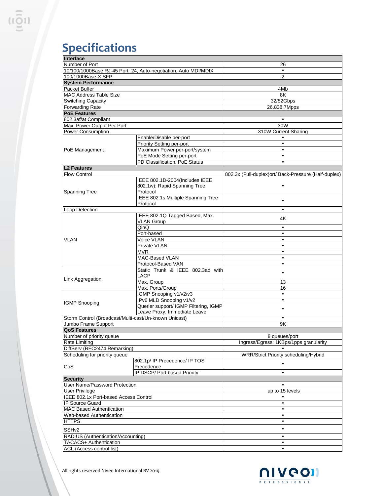# **Specifications**

| Interface                                             |                                                                 |                                                      |
|-------------------------------------------------------|-----------------------------------------------------------------|------------------------------------------------------|
| Number of Port                                        |                                                                 | 26                                                   |
|                                                       | 10/100/1000Base RJ-45 Port: 24, Auto-negotiation, Auto MDI/MDIX |                                                      |
| 100/1000Base-X SFP                                    |                                                                 | $\overline{2}$                                       |
| <b>System Performance</b>                             |                                                                 |                                                      |
| Packet Buffer                                         |                                                                 | 4Mb                                                  |
| <b>MAC Address Table Size</b>                         |                                                                 | 8K                                                   |
| <b>Switching Capacity</b>                             |                                                                 | 32/52Gbps                                            |
| <b>Forwarding Rate</b>                                |                                                                 | 26.838.7Mpps                                         |
| <b>PoE Features</b>                                   |                                                                 |                                                      |
| 802.3af/at Compliant                                  |                                                                 |                                                      |
| Max. Power Output Per Port:                           |                                                                 | 30W                                                  |
| <b>Power Consumption</b>                              |                                                                 | 310W Current Sharing                                 |
|                                                       | Enable/Disable per-port                                         | $\bullet$                                            |
| PoE Management                                        | Priority Setting per-port                                       | $\bullet$                                            |
|                                                       | Maximum Power per-port/system                                   | $\bullet$                                            |
|                                                       | PoE Mode Setting per-port                                       | $\bullet$                                            |
|                                                       | PD Classification, PoE Status                                   | $\bullet$                                            |
| <b>L2 Features</b>                                    |                                                                 |                                                      |
| <b>Flow Control</b>                                   |                                                                 | 802.3x (Full-duplex)ort/ Back-Pressure (Half-duplex) |
|                                                       | IEEE 802.1D-2004(Includes IEEE                                  |                                                      |
|                                                       | 802.1w): Rapid Spanning Tree                                    |                                                      |
|                                                       | Protocol                                                        |                                                      |
| Spanning Tree                                         | IEEE 802.1s Multiple Spanning Tree                              |                                                      |
|                                                       | Protocol                                                        | $\bullet$                                            |
|                                                       |                                                                 |                                                      |
| Loop Detection                                        |                                                                 |                                                      |
|                                                       | IEEE 802.1Q Tagged Based, Max.                                  | 4Κ                                                   |
|                                                       | <b>VLAN Group</b><br>QinQ                                       | $\bullet$                                            |
|                                                       |                                                                 |                                                      |
|                                                       | Port-based                                                      | $\bullet$<br>$\bullet$                               |
| <b>VLAN</b>                                           | Voice VLAN                                                      |                                                      |
|                                                       | Private VLAN                                                    | $\bullet$                                            |
|                                                       | <b>MVR</b>                                                      | $\bullet$                                            |
|                                                       | MAC-Based VLAN                                                  | $\bullet$                                            |
|                                                       | Protocol-Based VAN                                              | $\bullet$                                            |
|                                                       | Static Trunk & IEEE 802.3ad with                                | ٠                                                    |
| Link Aggregation                                      | LACP                                                            |                                                      |
|                                                       | Max. Group                                                      | 13                                                   |
|                                                       | Max. Ports/Group                                                | 16                                                   |
|                                                       | IGMP Snooping v1/v2/v3                                          | $\bullet$                                            |
| <b>IGMP Snooping</b>                                  | IPv6 MLD Snooping v1/v2                                         | $\bullet$                                            |
|                                                       | Querier support/ IGMP Filtering, IGMP                           | $\bullet$                                            |
|                                                       | Leave Proxy, Immediate Leave                                    |                                                      |
| Storm Control (Broadcast/Multi-cast/Un-known Unicast) |                                                                 | $\bullet$                                            |
| Jumbo Frame Support                                   |                                                                 | 9K                                                   |
| <b>QoS Features</b>                                   |                                                                 |                                                      |
| Number of priority queue                              |                                                                 | 8 queues/port                                        |
| Rate Limiting                                         |                                                                 | Ingress/Egress: 1KBps/1pps granularity               |
| DiffServ (RFC2474 Remarking)                          |                                                                 |                                                      |
| Scheduling for priority queue                         |                                                                 | WRR/Strict Priority scheduling/Hybrid                |
|                                                       | 802.1p/ IP Precedence/ IP TOS                                   |                                                      |
| CoS                                                   | Precedence                                                      |                                                      |
|                                                       | IP DSCP/ Port based Priority                                    | ٠                                                    |
| <b>Security</b>                                       |                                                                 |                                                      |
| User Name/Password Protection                         |                                                                 |                                                      |
| <b>User Privilege</b>                                 |                                                                 | up to 15 levels                                      |
| IEEE 802.1x Port-based Access Control                 |                                                                 |                                                      |
| <b>IP Source Guard</b>                                |                                                                 |                                                      |
| <b>MAC Based Authentication</b>                       |                                                                 |                                                      |
| Web-based Authentication                              |                                                                 | $\bullet$                                            |
| <b>HTTPS</b>                                          |                                                                 | $\bullet$                                            |
|                                                       |                                                                 |                                                      |
| SSH <sub>v2</sub>                                     |                                                                 |                                                      |
| RADIUS (Authentication/Accounting)                    |                                                                 | $\bullet$                                            |
| TACACS+ Authentication                                |                                                                 |                                                      |
| ACL (Access control list)                             |                                                                 |                                                      |